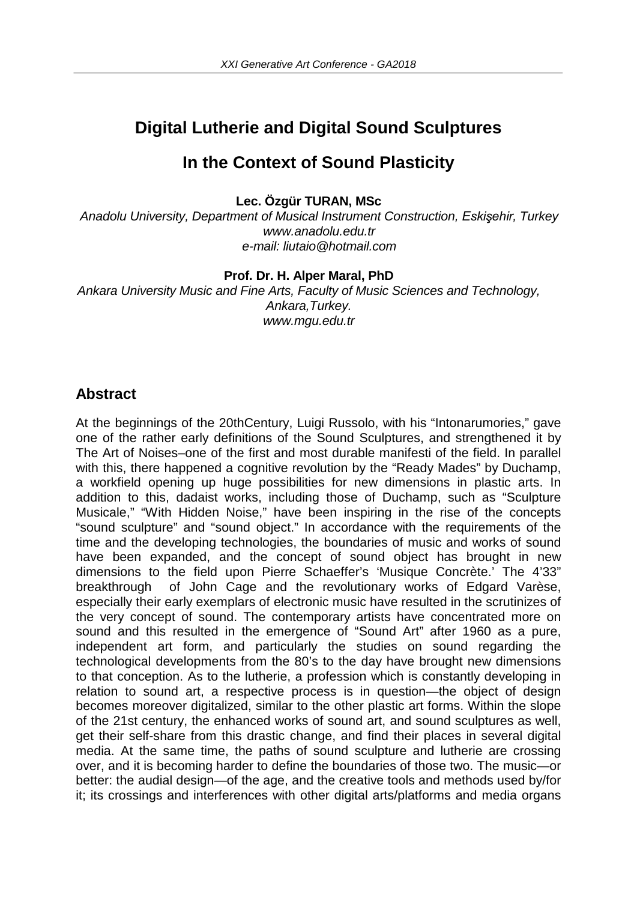# **Digital Lutherie and Digital Sound Sculptures**

# **In the Context of Sound Plasticity**

**Lec. Özgür TURAN, MSc**

*Anadolu University, Department of Musical Instrument Construction, Eskişehir, Turkey www.anadolu.edu.tr e-mail: liutaio@hotmail.com*

**Prof. Dr. H. Alper Maral, PhD**

*Ankara University Music and Fine Arts, Faculty of Music Sciences and Technology, Ankara,Turkey. www.mgu.edu.tr*

# **Abstract**

At the beginnings of the 20thCentury, Luigi Russolo, with his "Intonarumories," gave one of the rather early definitions of the Sound Sculptures, and strengthened it by The Art of Noises–one of the first and most durable manifesti of the field. In parallel with this, there happened a cognitive revolution by the "Ready Mades" by Duchamp, a workfield opening up huge possibilities for new dimensions in plastic arts. In addition to this, dadaist works, including those of Duchamp, such as "Sculpture Musicale," "With Hidden Noise," have been inspiring in the rise of the concepts "sound sculpture" and "sound object." In accordance with the requirements of the time and the developing technologies, the boundaries of music and works of sound have been expanded, and the concept of sound object has brought in new dimensions to the field upon Pierre Schaeffer's 'Musique Concrète.' The 4'33" breakthrough of John Cage and the revolutionary works of Edgard Varèse, especially their early exemplars of electronic music have resulted in the scrutinizes of the very concept of sound. The contemporary artists have concentrated more on sound and this resulted in the emergence of "Sound Art" after 1960 as a pure, independent art form, and particularly the studies on sound regarding the technological developments from the 80's to the day have brought new dimensions to that conception. As to the lutherie, a profession which is constantly developing in relation to sound art, a respective process is in question—the object of design becomes moreover digitalized, similar to the other plastic art forms. Within the slope of the 21st century, the enhanced works of sound art, and sound sculptures as well, get their self-share from this drastic change, and find their places in several digital media. At the same time, the paths of sound sculpture and lutherie are crossing over, and it is becoming harder to define the boundaries of those two. The music—or better: the audial design—of the age, and the creative tools and methods used by/for it; its crossings and interferences with other digital arts/platforms and media organs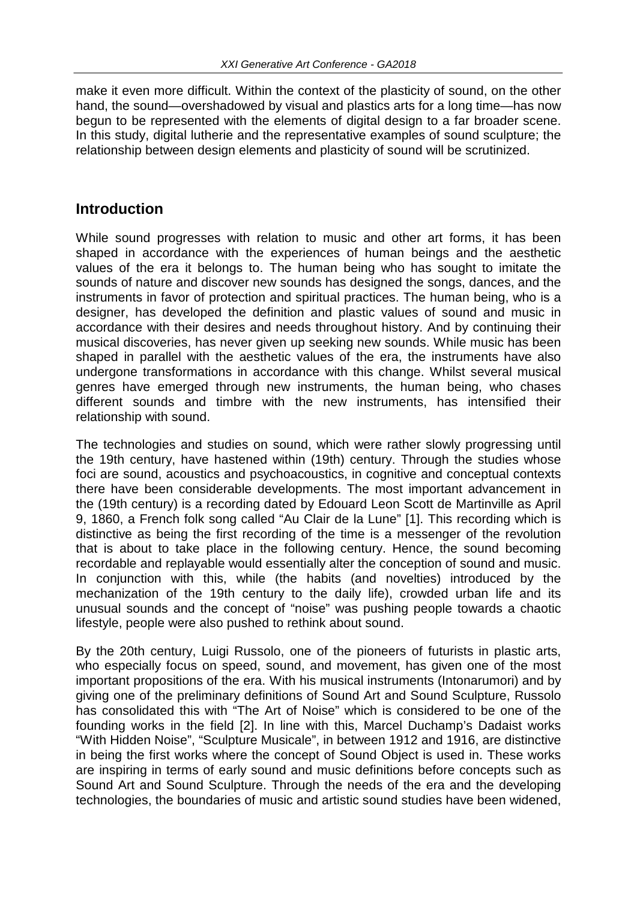make it even more difficult. Within the context of the plasticity of sound, on the other hand, the sound—overshadowed by visual and plastics arts for a long time—has now begun to be represented with the elements of digital design to a far broader scene. In this study, digital lutherie and the representative examples of sound sculpture; the relationship between design elements and plasticity of sound will be scrutinized.

#### **Introduction**

While sound progresses with relation to music and other art forms, it has been shaped in accordance with the experiences of human beings and the aesthetic values of the era it belongs to. The human being who has sought to imitate the sounds of nature and discover new sounds has designed the songs, dances, and the instruments in favor of protection and spiritual practices. The human being, who is a designer, has developed the definition and plastic values of sound and music in accordance with their desires and needs throughout history. And by continuing their musical discoveries, has never given up seeking new sounds. While music has been shaped in parallel with the aesthetic values of the era, the instruments have also undergone transformations in accordance with this change. Whilst several musical genres have emerged through new instruments, the human being, who chases different sounds and timbre with the new instruments, has intensified their relationship with sound.

The technologies and studies on sound, which were rather slowly progressing until the 19th century, have hastened within (19th) century. Through the studies whose foci are sound, acoustics and psychoacoustics, in cognitive and conceptual contexts there have been considerable developments. The most important advancement in the (19th century) is a recording dated by Edouard Leon Scott de Martinville as April 9, 1860, a French folk song called "Au Clair de la Lune" [1]. This recording which is distinctive as being the first recording of the time is a messenger of the revolution that is about to take place in the following century. Hence, the sound becoming recordable and replayable would essentially alter the conception of sound and music. In conjunction with this, while (the habits (and novelties) introduced by the mechanization of the 19th century to the daily life), crowded urban life and its unusual sounds and the concept of "noise" was pushing people towards a chaotic lifestyle, people were also pushed to rethink about sound.

By the 20th century, Luigi Russolo, one of the pioneers of futurists in plastic arts, who especially focus on speed, sound, and movement, has given one of the most important propositions of the era. With his musical instruments (Intonarumori) and by giving one of the preliminary definitions of Sound Art and Sound Sculpture, Russolo has consolidated this with "The Art of Noise" which is considered to be one of the founding works in the field [2]. In line with this, Marcel Duchamp's Dadaist works "With Hidden Noise", "Sculpture Musicale", in between 1912 and 1916, are distinctive in being the first works where the concept of Sound Object is used in. These works are inspiring in terms of early sound and music definitions before concepts such as Sound Art and Sound Sculpture. Through the needs of the era and the developing technologies, the boundaries of music and artistic sound studies have been widened,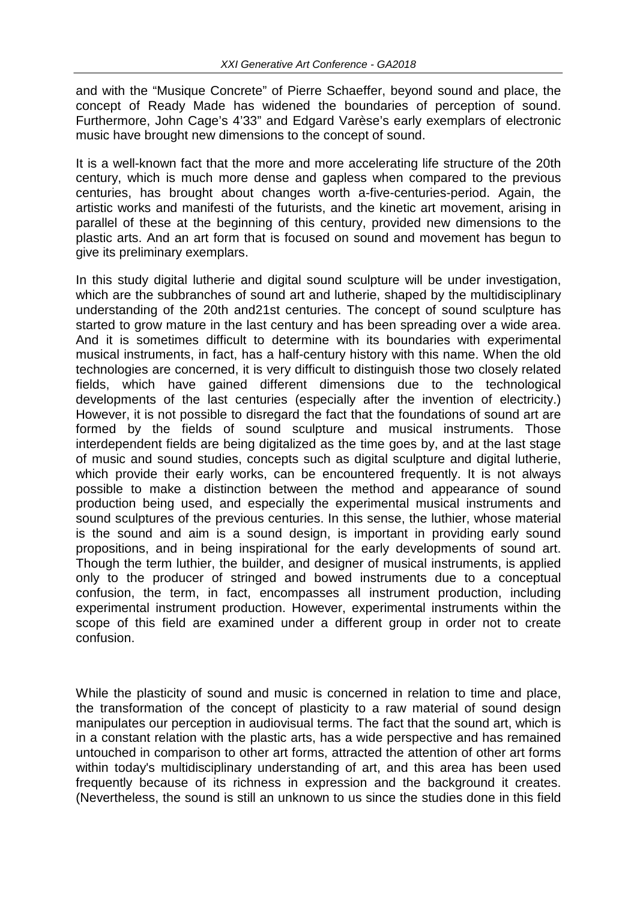and with the "Musique Concrete" of Pierre Schaeffer, beyond sound and place, the concept of Ready Made has widened the boundaries of perception of sound. Furthermore, John Cage's 4'33" and Edgard Varèse's early exemplars of electronic music have brought new dimensions to the concept of sound.

It is a well-known fact that the more and more accelerating life structure of the 20th century, which is much more dense and gapless when compared to the previous centuries, has brought about changes worth a-five-centuries-period. Again, the artistic works and manifesti of the futurists, and the kinetic art movement, arising in parallel of these at the beginning of this century, provided new dimensions to the plastic arts. And an art form that is focused on sound and movement has begun to give its preliminary exemplars.

In this study digital lutherie and digital sound sculpture will be under investigation, which are the subbranches of sound art and lutherie, shaped by the multidisciplinary understanding of the 20th and21st centuries. The concept of sound sculpture has started to grow mature in the last century and has been spreading over a wide area. And it is sometimes difficult to determine with its boundaries with experimental musical instruments, in fact, has a half-century history with this name. When the old technologies are concerned, it is very difficult to distinguish those two closely related fields, which have gained different dimensions due to the technological developments of the last centuries (especially after the invention of electricity.) However, it is not possible to disregard the fact that the foundations of sound art are formed by the fields of sound sculpture and musical instruments. Those interdependent fields are being digitalized as the time goes by, and at the last stage of music and sound studies, concepts such as digital sculpture and digital lutherie, which provide their early works, can be encountered frequently. It is not always possible to make a distinction between the method and appearance of sound production being used, and especially the experimental musical instruments and sound sculptures of the previous centuries. In this sense, the luthier, whose material is the sound and aim is a sound design, is important in providing early sound propositions, and in being inspirational for the early developments of sound art. Though the term luthier, the builder, and designer of musical instruments, is applied only to the producer of stringed and bowed instruments due to a conceptual confusion, the term, in fact, encompasses all instrument production, including experimental instrument production. However, experimental instruments within the scope of this field are examined under a different group in order not to create confusion.

While the plasticity of sound and music is concerned in relation to time and place, the transformation of the concept of plasticity to a raw material of sound design manipulates our perception in audiovisual terms. The fact that the sound art, which is in a constant relation with the plastic arts, has a wide perspective and has remained untouched in comparison to other art forms, attracted the attention of other art forms within today's multidisciplinary understanding of art, and this area has been used frequently because of its richness in expression and the background it creates. (Nevertheless, the sound is still an unknown to us since the studies done in this field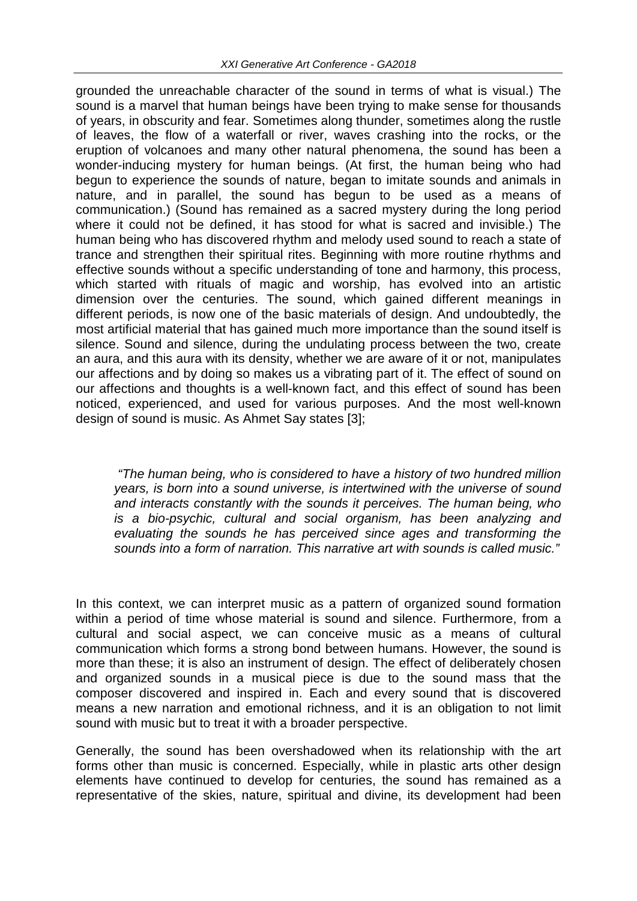grounded the unreachable character of the sound in terms of what is visual.) The sound is a marvel that human beings have been trying to make sense for thousands of years, in obscurity and fear. Sometimes along thunder, sometimes along the rustle of leaves, the flow of a waterfall or river, waves crashing into the rocks, or the eruption of volcanoes and many other natural phenomena, the sound has been a wonder-inducing mystery for human beings. (At first, the human being who had begun to experience the sounds of nature, began to imitate sounds and animals in nature, and in parallel, the sound has begun to be used as a means of communication.) (Sound has remained as a sacred mystery during the long period where it could not be defined, it has stood for what is sacred and invisible.) The human being who has discovered rhythm and melody used sound to reach a state of trance and strengthen their spiritual rites. Beginning with more routine rhythms and effective sounds without a specific understanding of tone and harmony, this process, which started with rituals of magic and worship, has evolved into an artistic dimension over the centuries. The sound, which gained different meanings in different periods, is now one of the basic materials of design. And undoubtedly, the most artificial material that has gained much more importance than the sound itself is silence. Sound and silence, during the undulating process between the two, create an aura, and this aura with its density, whether we are aware of it or not, manipulates our affections and by doing so makes us a vibrating part of it. The effect of sound on our affections and thoughts is a well-known fact, and this effect of sound has been noticed, experienced, and used for various purposes. And the most well-known design of sound is music. As Ahmet Say states [3];

*"The human being, who is considered to have a history of two hundred million years, is born into a sound universe, is intertwined with the universe of sound and interacts constantly with the sounds it perceives. The human being, who is a bio-psychic, cultural and social organism, has been analyzing and evaluating the sounds he has perceived since ages and transforming the sounds into a form of narration. This narrative art with sounds is called music."*

In this context, we can interpret music as a pattern of organized sound formation within a period of time whose material is sound and silence. Furthermore, from a cultural and social aspect, we can conceive music as a means of cultural communication which forms a strong bond between humans. However, the sound is more than these; it is also an instrument of design. The effect of deliberately chosen and organized sounds in a musical piece is due to the sound mass that the composer discovered and inspired in. Each and every sound that is discovered means a new narration and emotional richness, and it is an obligation to not limit sound with music but to treat it with a broader perspective.

Generally, the sound has been overshadowed when its relationship with the art forms other than music is concerned. Especially, while in plastic arts other design elements have continued to develop for centuries, the sound has remained as a representative of the skies, nature, spiritual and divine, its development had been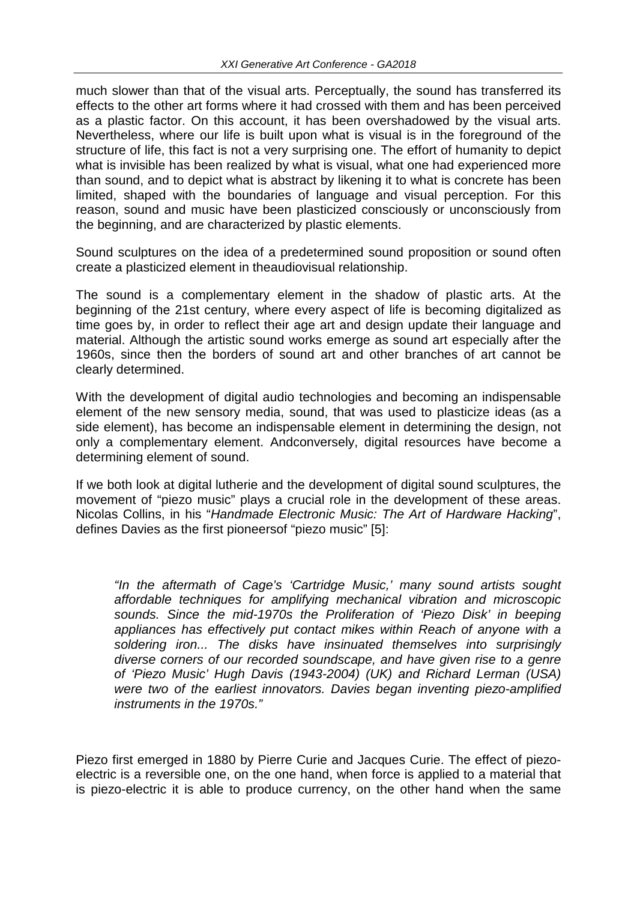much slower than that of the visual arts. Perceptually, the sound has transferred its effects to the other art forms where it had crossed with them and has been perceived as a plastic factor. On this account, it has been overshadowed by the visual arts. Nevertheless, where our life is built upon what is visual is in the foreground of the structure of life, this fact is not a very surprising one. The effort of humanity to depict what is invisible has been realized by what is visual, what one had experienced more than sound, and to depict what is abstract by likening it to what is concrete has been limited, shaped with the boundaries of language and visual perception. For this reason, sound and music have been plasticized consciously or unconsciously from the beginning, and are characterized by plastic elements.

Sound sculptures on the idea of a predetermined sound proposition or sound often create a plasticized element in theaudiovisual relationship.

The sound is a complementary element in the shadow of plastic arts. At the beginning of the 21st century, where every aspect of life is becoming digitalized as time goes by, in order to reflect their age art and design update their language and material. Although the artistic sound works emerge as sound art especially after the 1960s, since then the borders of sound art and other branches of art cannot be clearly determined.

With the development of digital audio technologies and becoming an indispensable element of the new sensory media, sound, that was used to plasticize ideas (as a side element), has become an indispensable element in determining the design, not only a complementary element. Andconversely, digital resources have become a determining element of sound.

If we both look at digital lutherie and the development of digital sound sculptures, the movement of "piezo music" plays a crucial role in the development of these areas. Nicolas Collins, in his "*Handmade Electronic Music: The Art of Hardware Hacking*", defines Davies as the first pioneersof "piezo music" [5]:

*"In the aftermath of Cage's 'Cartridge Music,' many sound artists sought affordable techniques for amplifying mechanical vibration and microscopic sounds. Since the mid-1970s the Proliferation of 'Piezo Disk' in beeping appliances has effectively put contact mikes within Reach of anyone with a soldering iron... The disks have insinuated themselves into surprisingly diverse corners of our recorded soundscape, and have given rise to a genre of 'Piezo Music' Hugh Davis (1943-2004) (UK) and Richard Lerman (USA) were two of the earliest innovators. Davies began inventing piezo-amplified instruments in the 1970s."*

Piezo first emerged in 1880 by Pierre Curie and Jacques Curie. The effect of piezoelectric is a reversible one, on the one hand, when force is applied to a material that is piezo-electric it is able to produce currency, on the other hand when the same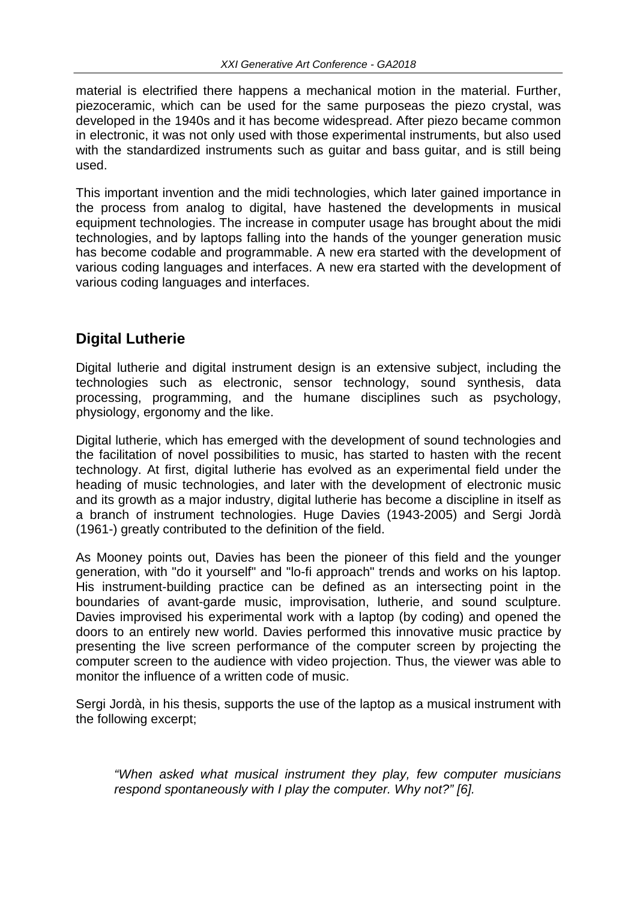material is electrified there happens a mechanical motion in the material. Further, piezoceramic, which can be used for the same purposeas the piezo crystal, was developed in the 1940s and it has become widespread. After piezo became common in electronic, it was not only used with those experimental instruments, but also used with the standardized instruments such as quitar and bass quitar, and is still being used.

This important invention and the midi technologies, which later gained importance in the process from analog to digital, have hastened the developments in musical equipment technologies. The increase in computer usage has brought about the midi technologies, and by laptops falling into the hands of the younger generation music has become codable and programmable. A new era started with the development of various coding languages and interfaces. A new era started with the development of various coding languages and interfaces.

# **Digital Lutherie**

Digital lutherie and digital instrument design is an extensive subject, including the technologies such as electronic, sensor technology, sound synthesis, data processing, programming, and the humane disciplines such as psychology, physiology, ergonomy and the like.

Digital lutherie, which has emerged with the development of sound technologies and the facilitation of novel possibilities to music, has started to hasten with the recent technology. At first, digital lutherie has evolved as an experimental field under the heading of music technologies, and later with the development of electronic music and its growth as a major industry, digital lutherie has become a discipline in itself as a branch of instrument technologies. Huge Davies (1943-2005) and Sergi Jordà (1961-) greatly contributed to the definition of the field.

As Mooney points out, Davies has been the pioneer of this field and the younger generation, with "do it yourself" and "lo-fi approach" trends and works on his laptop. His instrument-building practice can be defined as an intersecting point in the boundaries of avant-garde music, improvisation, lutherie, and sound sculpture. Davies improvised his experimental work with a laptop (by coding) and opened the doors to an entirely new world. Davies performed this innovative music practice by presenting the live screen performance of the computer screen by projecting the computer screen to the audience with video projection. Thus, the viewer was able to monitor the influence of a written code of music.

Sergi Jordà, in his thesis, supports the use of the laptop as a musical instrument with the following excerpt;

*"When asked what musical instrument they play, few computer musicians respond spontaneously with I play the computer. Why not?" [6].*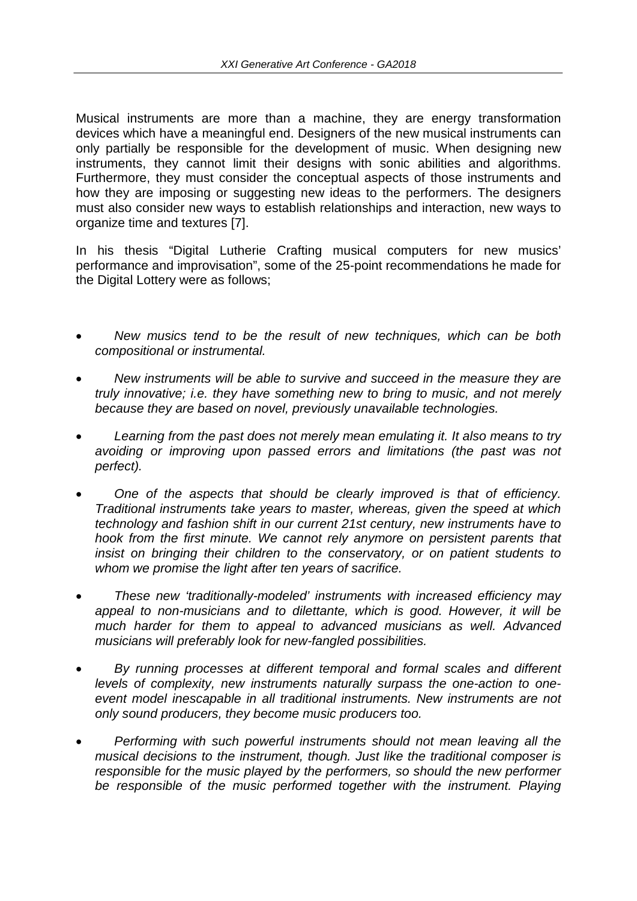Musical instruments are more than a machine, they are energy transformation devices which have a meaningful end. Designers of the new musical instruments can only partially be responsible for the development of music. When designing new instruments, they cannot limit their designs with sonic abilities and algorithms. Furthermore, they must consider the conceptual aspects of those instruments and how they are imposing or suggesting new ideas to the performers. The designers must also consider new ways to establish relationships and interaction, new ways to organize time and textures [7].

In his thesis "Digital Lutherie Crafting musical computers for new musics' performance and improvisation", some of the 25-point recommendations he made for the Digital Lottery were as follows;

- *New musics tend to be the result of new techniques, which can be both compositional or instrumental.*
- *New instruments will be able to survive and succeed in the measure they are truly innovative; i.e. they have something new to bring to music, and not merely because they are based on novel, previously unavailable technologies.*
- *Learning from the past does not merely mean emulating it. It also means to try avoiding or improving upon passed errors and limitations (the past was not perfect).*
- *One of the aspects that should be clearly improved is that of efficiency. Traditional instruments take years to master, whereas, given the speed at which technology and fashion shift in our current 21st century, new instruments have to hook from the first minute. We cannot rely anymore on persistent parents that insist on bringing their children to the conservatory, or on patient students to whom we promise the light after ten years of sacrifice.*
- *These new 'traditionally-modeled' instruments with increased efficiency may appeal to non-musicians and to dilettante, which is good. However, it will be much harder for them to appeal to advanced musicians as well. Advanced musicians will preferably look for new-fangled possibilities.*
- *By running processes at different temporal and formal scales and different levels of complexity, new instruments naturally surpass the one-action to oneevent model inescapable in all traditional instruments. New instruments are not only sound producers, they become music producers too.*
- *Performing with such powerful instruments should not mean leaving all the musical decisions to the instrument, though. Just like the traditional composer is responsible for the music played by the performers, so should the new performer be responsible of the music performed together with the instrument. Playing*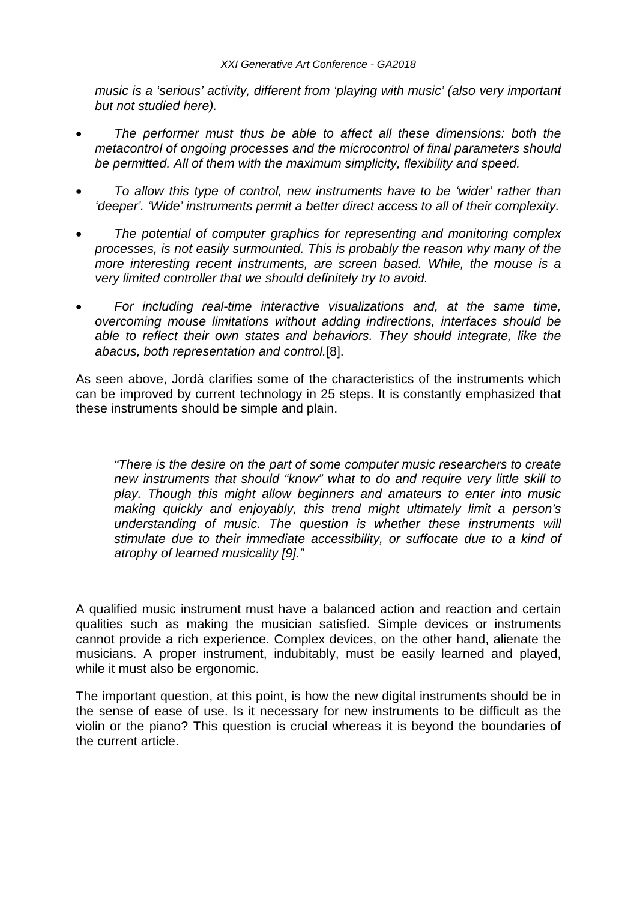*music is a 'serious' activity, different from 'playing with music' (also very important but not studied here).*

- *The performer must thus be able to affect all these dimensions: both the metacontrol of ongoing processes and the microcontrol of final parameters should be permitted. All of them with the maximum simplicity, flexibility and speed.*
- *To allow this type of control, new instruments have to be 'wider' rather than 'deeper'. 'Wide' instruments permit a better direct access to all of their complexity.*
- *The potential of computer graphics for representing and monitoring complex processes, is not easily surmounted. This is probably the reason why many of the more interesting recent instruments, are screen based. While, the mouse is a very limited controller that we should definitely try to avoid.*
- *For including real-time interactive visualizations and, at the same time, overcoming mouse limitations without adding indirections, interfaces should be able to reflect their own states and behaviors. They should integrate, like the abacus, both representation and control.*[8].

As seen above, Jordà clarifies some of the characteristics of the instruments which can be improved by current technology in 25 steps. It is constantly emphasized that these instruments should be simple and plain.

*"There is the desire on the part of some computer music researchers to create new instruments that should "know" what to do and require very little skill to play. Though this might allow beginners and amateurs to enter into music making quickly and enjoyably, this trend might ultimately limit a person's understanding of music. The question is whether these instruments will stimulate due to their immediate accessibility, or suffocate due to a kind of atrophy of learned musicality [9]."*

A qualified music instrument must have a balanced action and reaction and certain qualities such as making the musician satisfied. Simple devices or instruments cannot provide a rich experience. Complex devices, on the other hand, alienate the musicians. A proper instrument, indubitably, must be easily learned and played, while it must also be ergonomic.

The important question, at this point, is how the new digital instruments should be in the sense of ease of use. Is it necessary for new instruments to be difficult as the violin or the piano? This question is crucial whereas it is beyond the boundaries of the current article.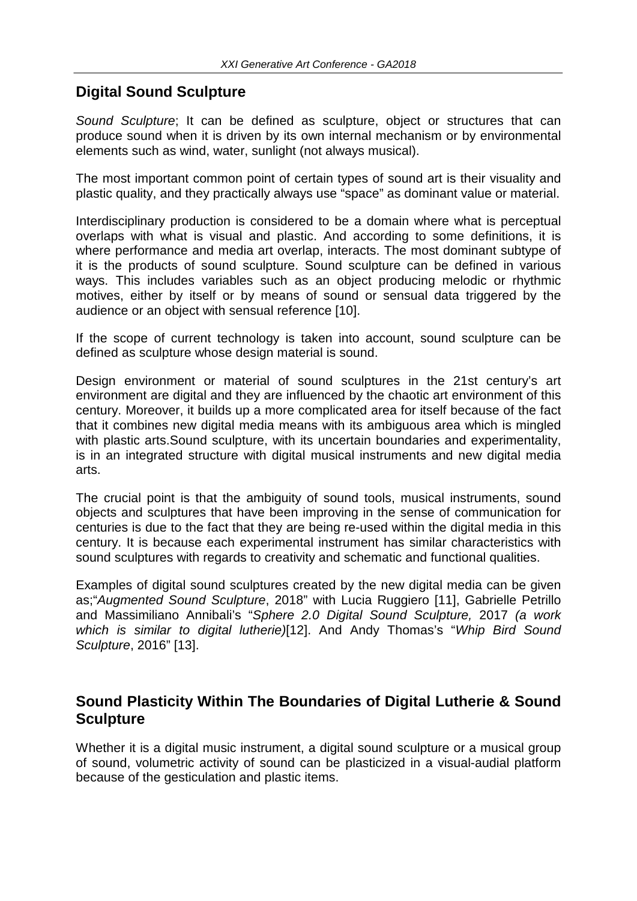## **Digital Sound Sculpture**

*Sound Sculpture*; It can be defined as sculpture, object or structures that can produce sound when it is driven by its own internal mechanism or by environmental elements such as wind, water, sunlight (not always musical).

The most important common point of certain types of sound art is their visuality and plastic quality, and they practically always use "space" as dominant value or material.

Interdisciplinary production is considered to be a domain where what is perceptual overlaps with what is visual and plastic. And according to some definitions, it is where performance and media art overlap, interacts. The most dominant subtype of it is the products of sound sculpture. Sound sculpture can be defined in various ways. This includes variables such as an object producing melodic or rhythmic motives, either by itself or by means of sound or sensual data triggered by the audience or an object with sensual reference [10].

If the scope of current technology is taken into account, sound sculpture can be defined as sculpture whose design material is sound.

Design environment or material of sound sculptures in the 21st century's art environment are digital and they are influenced by the chaotic art environment of this century. Moreover, it builds up a more complicated area for itself because of the fact that it combines new digital media means with its ambiguous area which is mingled with plastic arts.Sound sculpture, with its uncertain boundaries and experimentality, is in an integrated structure with digital musical instruments and new digital media arts.

The crucial point is that the ambiguity of sound tools, musical instruments, sound objects and sculptures that have been improving in the sense of communication for centuries is due to the fact that they are being re-used within the digital media in this century. It is because each experimental instrument has similar characteristics with sound sculptures with regards to creativity and schematic and functional qualities.

Examples of digital sound sculptures created by the new digital media can be given as;"*Augmented Sound Sculpture*, 2018" with Lucia Ruggiero [11], Gabrielle Petrillo and Massimiliano Annibali's "*Sphere 2.0 Digital Sound Sculpture,* 2017 *(a work which is similar to digital lutherie)*[12]. And Andy Thomas's "*Whip Bird Sound Sculpture*, 2016" [13].

## **Sound Plasticity Within The Boundaries of Digital Lutherie & Sound Sculpture**

Whether it is a digital music instrument, a digital sound sculpture or a musical group of sound, volumetric activity of sound can be plasticized in a visual-audial platform because of the gesticulation and plastic items.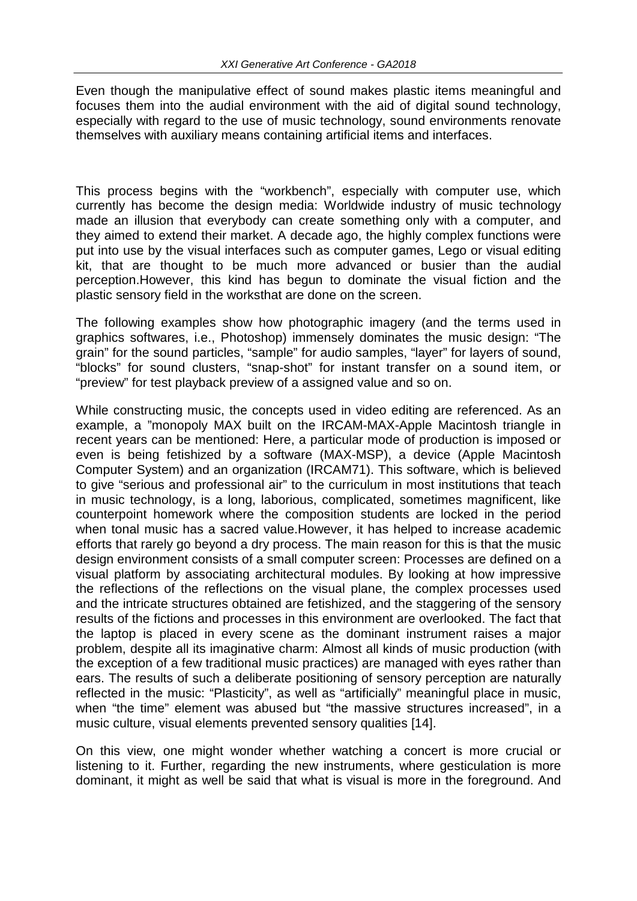Even though the manipulative effect of sound makes plastic items meaningful and focuses them into the audial environment with the aid of digital sound technology, especially with regard to the use of music technology, sound environments renovate themselves with auxiliary means containing artificial items and interfaces.

This process begins with the "workbench", especially with computer use, which currently has become the design media: Worldwide industry of music technology made an illusion that everybody can create something only with a computer, and they aimed to extend their market. A decade ago, the highly complex functions were put into use by the visual interfaces such as computer games, Lego or visual editing kit, that are thought to be much more advanced or busier than the audial perception.However, this kind has begun to dominate the visual fiction and the plastic sensory field in the worksthat are done on the screen.

The following examples show how photographic imagery (and the terms used in graphics softwares, i.e., Photoshop) immensely dominates the music design: "The grain" for the sound particles, "sample" for audio samples, "layer" for layers of sound, "blocks" for sound clusters, "snap-shot" for instant transfer on a sound item, or "preview" for test playback preview of a assigned value and so on.

While constructing music, the concepts used in video editing are referenced. As an example, a "monopoly MAX built on the IRCAM-MAX-Apple Macintosh triangle in recent years can be mentioned: Here, a particular mode of production is imposed or even is being fetishized by a software (MAX-MSP), a device (Apple Macintosh Computer System) and an organization (IRCAM71). This software, which is believed to give "serious and professional air" to the curriculum in most institutions that teach in music technology, is a long, laborious, complicated, sometimes magnificent, like counterpoint homework where the composition students are locked in the period when tonal music has a sacred value.However, it has helped to increase academic efforts that rarely go beyond a dry process. The main reason for this is that the music design environment consists of a small computer screen: Processes are defined on a visual platform by associating architectural modules. By looking at how impressive the reflections of the reflections on the visual plane, the complex processes used and the intricate structures obtained are fetishized, and the staggering of the sensory results of the fictions and processes in this environment are overlooked. The fact that the laptop is placed in every scene as the dominant instrument raises a major problem, despite all its imaginative charm: Almost all kinds of music production (with the exception of a few traditional music practices) are managed with eyes rather than ears. The results of such a deliberate positioning of sensory perception are naturally reflected in the music: "Plasticity", as well as "artificially" meaningful place in music, when "the time" element was abused but "the massive structures increased", in a music culture, visual elements prevented sensory qualities [14].

On this view, one might wonder whether watching a concert is more crucial or listening to it. Further, regarding the new instruments, where gesticulation is more dominant, it might as well be said that what is visual is more in the foreground. And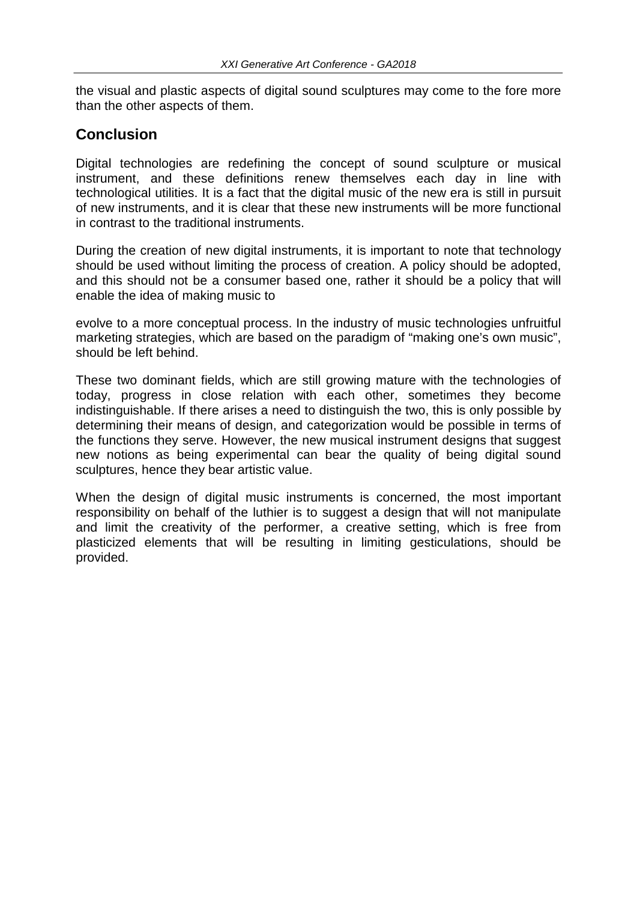the visual and plastic aspects of digital sound sculptures may come to the fore more than the other aspects of them.

#### **Conclusion**

Digital technologies are redefining the concept of sound sculpture or musical instrument, and these definitions renew themselves each day in line with technological utilities. It is a fact that the digital music of the new era is still in pursuit of new instruments, and it is clear that these new instruments will be more functional in contrast to the traditional instruments.

During the creation of new digital instruments, it is important to note that technology should be used without limiting the process of creation. A policy should be adopted, and this should not be a consumer based one, rather it should be a policy that will enable the idea of making music to

evolve to a more conceptual process. In the industry of music technologies unfruitful marketing strategies, which are based on the paradigm of "making one's own music", should be left behind.

These two dominant fields, which are still growing mature with the technologies of today, progress in close relation with each other, sometimes they become indistinguishable. If there arises a need to distinguish the two, this is only possible by determining their means of design, and categorization would be possible in terms of the functions they serve. However, the new musical instrument designs that suggest new notions as being experimental can bear the quality of being digital sound sculptures, hence they bear artistic value.

When the design of digital music instruments is concerned, the most important responsibility on behalf of the luthier is to suggest a design that will not manipulate and limit the creativity of the performer, a creative setting, which is free from plasticized elements that will be resulting in limiting gesticulations, should be provided.